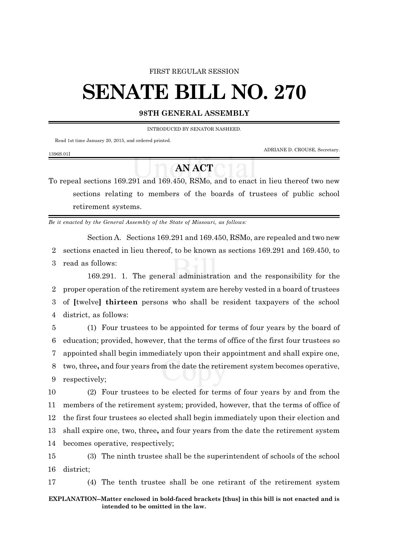## FIRST REGULAR SESSION

# **SENATE BILL NO. 270**

# **98TH GENERAL ASSEMBLY**

INTRODUCED BY SENATOR NASHEED.

Read 1st time January 20, 2015, and ordered printed.

ADRIANE D. CROUSE, Secretary.

#### 1396S.01I

# **AN ACT**

To repeal sections 169.291 and 169.450, RSMo, and to enact in lieu thereof two new sections relating to members of the boards of trustees of public school retirement systems.

*Be it enacted by the General Assembly of the State of Missouri, as follows:*

Section A. Sections 169.291 and 169.450, RSMo, are repealed and two new 2 sections enacted in lieu thereof, to be known as sections 169.291 and 169.450, to 3 read as follows:

169.291. 1. The general administration and the responsibility for the proper operation of the retirement system are hereby vested in a board of trustees of **[**twelve**] thirteen** persons who shall be resident taxpayers of the school district, as follows:

 (1) Four trustees to be appointed for terms of four years by the board of education; provided, however, that the terms of office of the first four trustees so appointed shall begin immediately upon their appointment and shall expire one, two, three**,** and four years from the date the retirement system becomes operative, respectively;

 (2) Four trustees to be elected for terms of four years by and from the members of the retirement system; provided, however, that the terms of office of the first four trustees so elected shall begin immediately upon their election and shall expire one, two, three**,** and four years from the date the retirement system becomes operative, respectively;

15 (3) The ninth trustee shall be the superintendent of schools of the school 16 district;

17 (4) The tenth trustee shall be one retirant of the retirement system

## **EXPLANATION--Matter enclosed in bold-faced brackets [thus] in this bill is not enacted and is intended to be omitted in the law.**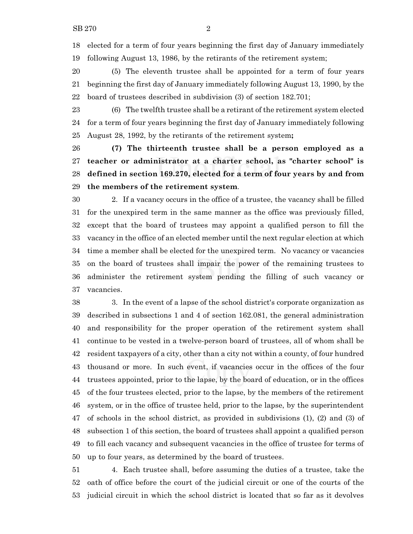elected for a term of four years beginning the first day of January immediately following August 13, 1986, by the retirants of the retirement system;

 (5) The eleventh trustee shall be appointed for a term of four years beginning the first day of January immediately following August 13, 1990, by the board of trustees described in subdivision (3) of section 182.701;

 (6) The twelfth trustee shall be a retirant of the retirement system elected for a term of four years beginning the first day of January immediately following August 28, 1992, by the retirants of the retirement system**;**

 **(7) The thirteenth trustee shall be a person employed as a teacher or administrator at a charter school, as "charter school" is defined in section 169.270, elected for a term of four years by and from the members of the retirement system**.

 2. If a vacancy occurs in the office of a trustee, the vacancy shall be filled for the unexpired term in the same manner as the office was previously filled, except that the board of trustees may appoint a qualified person to fill the vacancy in the office of an elected member until the next regular election at which time a member shall be elected for the unexpired term. No vacancy or vacancies on the board of trustees shall impair the power of the remaining trustees to administer the retirement system pending the filling of such vacancy or vacancies.

 3. In the event of a lapse of the school district's corporate organization as described in subsections 1 and 4 of section 162.081, the general administration and responsibility for the proper operation of the retirement system shall continue to be vested in a twelve-person board of trustees, all of whom shall be resident taxpayers of a city, other than a city not within a county, of four hundred thousand or more. In such event, if vacancies occur in the offices of the four trustees appointed, prior to the lapse, by the board of education, or in the offices of the four trustees elected, prior to the lapse, by the members of the retirement system, or in the office of trustee held, prior to the lapse, by the superintendent of schools in the school district, as provided in subdivisions (1), (2) and (3) of subsection 1 of this section, the board of trustees shall appoint a qualified person to fill each vacancy and subsequent vacancies in the office of trustee for terms of up to four years, as determined by the board of trustees.

 4. Each trustee shall, before assuming the duties of a trustee, take the oath of office before the court of the judicial circuit or one of the courts of the judicial circuit in which the school district is located that so far as it devolves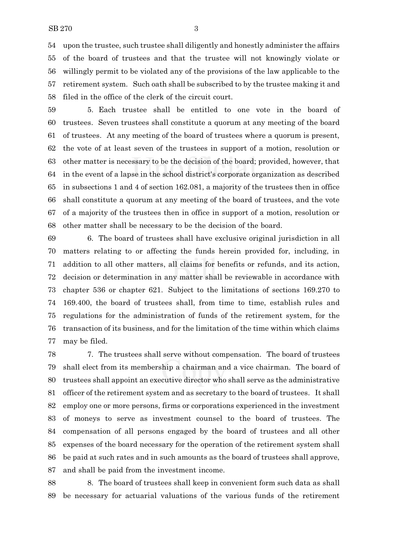upon the trustee, such trustee shall diligently and honestly administer the affairs of the board of trustees and that the trustee will not knowingly violate or willingly permit to be violated any of the provisions of the law applicable to the retirement system. Such oath shall be subscribed to by the trustee making it and filed in the office of the clerk of the circuit court.

 5. Each trustee shall be entitled to one vote in the board of trustees. Seven trustees shall constitute a quorum at any meeting of the board of trustees. At any meeting of the board of trustees where a quorum is present, the vote of at least seven of the trustees in support of a motion, resolution or other matter is necessary to be the decision of the board; provided, however, that in the event of a lapse in the school district's corporate organization as described in subsections 1 and 4 of section 162.081, a majority of the trustees then in office shall constitute a quorum at any meeting of the board of trustees, and the vote of a majority of the trustees then in office in support of a motion, resolution or other matter shall be necessary to be the decision of the board.

 6. The board of trustees shall have exclusive original jurisdiction in all matters relating to or affecting the funds herein provided for, including, in addition to all other matters, all claims for benefits or refunds, and its action, decision or determination in any matter shall be reviewable in accordance with chapter 536 or chapter 621. Subject to the limitations of sections 169.270 to 169.400, the board of trustees shall, from time to time, establish rules and regulations for the administration of funds of the retirement system, for the transaction of its business, and for the limitation of the time within which claims may be filed.

 7. The trustees shall serve without compensation. The board of trustees shall elect from its membership a chairman and a vice chairman. The board of trustees shall appoint an executive director who shall serve as the administrative officer of the retirement system and as secretary to the board of trustees. It shall employ one or more persons, firms or corporations experienced in the investment of moneys to serve as investment counsel to the board of trustees. The compensation of all persons engaged by the board of trustees and all other expenses of the board necessary for the operation of the retirement system shall be paid at such rates and in such amounts as the board of trustees shall approve, and shall be paid from the investment income.

 8. The board of trustees shall keep in convenient form such data as shall be necessary for actuarial valuations of the various funds of the retirement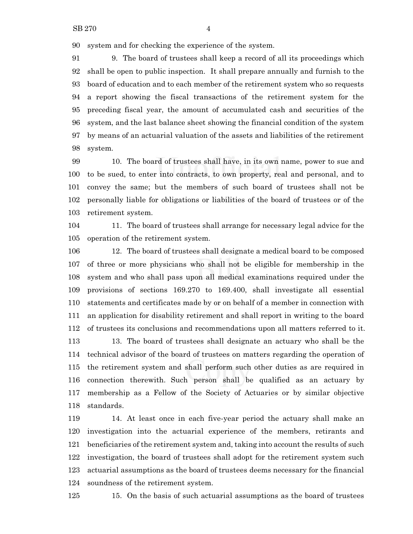system and for checking the experience of the system.

 9. The board of trustees shall keep a record of all its proceedings which shall be open to public inspection. It shall prepare annually and furnish to the board of education and to each member of the retirement system who so requests a report showing the fiscal transactions of the retirement system for the preceding fiscal year, the amount of accumulated cash and securities of the system, and the last balance sheet showing the financial condition of the system by means of an actuarial valuation of the assets and liabilities of the retirement system.

 10. The board of trustees shall have, in its own name, power to sue and to be sued, to enter into contracts, to own property, real and personal, and to convey the same; but the members of such board of trustees shall not be personally liable for obligations or liabilities of the board of trustees or of the retirement system.

 11. The board of trustees shall arrange for necessary legal advice for the operation of the retirement system.

 12. The board of trustees shall designate a medical board to be composed of three or more physicians who shall not be eligible for membership in the system and who shall pass upon all medical examinations required under the provisions of sections 169.270 to 169.400, shall investigate all essential statements and certificates made by or on behalf of a member in connection with an application for disability retirement and shall report in writing to the board of trustees its conclusions and recommendations upon all matters referred to it. 13. The board of trustees shall designate an actuary who shall be the technical advisor of the board of trustees on matters regarding the operation of the retirement system and shall perform such other duties as are required in connection therewith. Such person shall be qualified as an actuary by membership as a Fellow of the Society of Actuaries or by similar objective standards.

 14. At least once in each five-year period the actuary shall make an investigation into the actuarial experience of the members, retirants and beneficiaries of the retirement system and, taking into account the results of such investigation, the board of trustees shall adopt for the retirement system such actuarial assumptions as the board of trustees deems necessary for the financial soundness of the retirement system.

15. On the basis of such actuarial assumptions as the board of trustees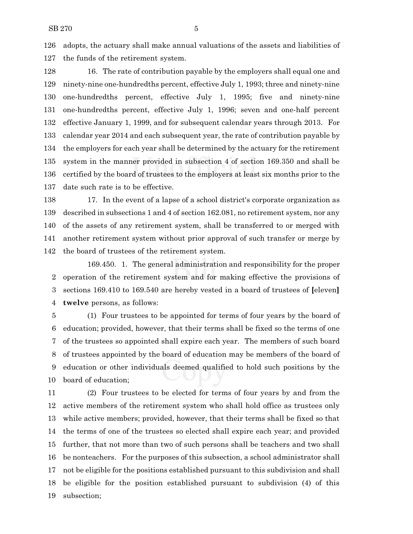adopts, the actuary shall make annual valuations of the assets and liabilities of the funds of the retirement system.

 16. The rate of contribution payable by the employers shall equal one and ninety-nine one-hundredths percent, effective July 1, 1993; three and ninety-nine one-hundredths percent, effective July 1, 1995; five and ninety-nine one-hundredths percent, effective July 1, 1996; seven and one-half percent effective January 1, 1999, and for subsequent calendar years through 2013. For calendar year 2014 and each subsequent year, the rate of contribution payable by the employers for each year shall be determined by the actuary for the retirement system in the manner provided in subsection 4 of section 169.350 and shall be certified by the board of trustees to the employers at least six months prior to the date such rate is to be effective.

 17. In the event of a lapse of a school district's corporate organization as described in subsections 1 and 4 of section 162.081, no retirement system, nor any of the assets of any retirement system, shall be transferred to or merged with another retirement system without prior approval of such transfer or merge by the board of trustees of the retirement system.

169.450. 1. The general administration and responsibility for the proper operation of the retirement system and for making effective the provisions of sections 169.410 to 169.540 are hereby vested in a board of trustees of **[**eleven**] twelve** persons, as follows:

 (1) Four trustees to be appointed for terms of four years by the board of education; provided, however, that their terms shall be fixed so the terms of one of the trustees so appointed shall expire each year. The members of such board of trustees appointed by the board of education may be members of the board of education or other individuals deemed qualified to hold such positions by the board of education;

 (2) Four trustees to be elected for terms of four years by and from the active members of the retirement system who shall hold office as trustees only while active members; provided, however, that their terms shall be fixed so that the terms of one of the trustees so elected shall expire each year; and provided further, that not more than two of such persons shall be teachers and two shall be nonteachers. For the purposes of this subsection, a school administrator shall not be eligible for the positions established pursuant to this subdivision and shall be eligible for the position established pursuant to subdivision (4) of this subsection;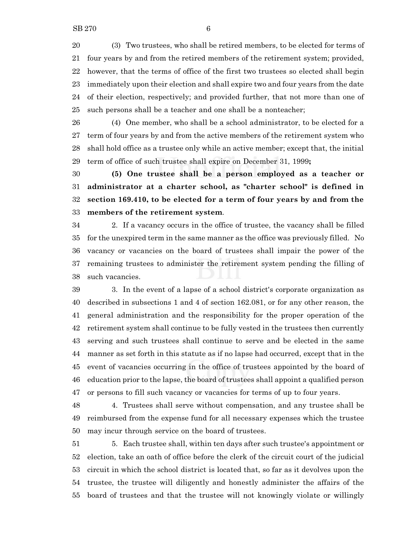(3) Two trustees, who shall be retired members, to be elected for terms of four years by and from the retired members of the retirement system; provided, however, that the terms of office of the first two trustees so elected shall begin immediately upon their election and shall expire two and four years from the date of their election, respectively; and provided further, that not more than one of such persons shall be a teacher and one shall be a nonteacher;

 (4) One member, who shall be a school administrator, to be elected for a term of four years by and from the active members of the retirement system who shall hold office as a trustee only while an active member; except that, the initial term of office of such trustee shall expire on December 31, 1999**;**

 **(5) One trustee shall be a person employed as a teacher or administrator at a charter school, as "charter school" is defined in section 169.410, to be elected for a term of four years by and from the members of the retirement system**.

 2. If a vacancy occurs in the office of trustee, the vacancy shall be filled for the unexpired term in the same manner as the office was previously filled. No vacancy or vacancies on the board of trustees shall impair the power of the remaining trustees to administer the retirement system pending the filling of such vacancies.

 3. In the event of a lapse of a school district's corporate organization as described in subsections 1 and 4 of section 162.081, or for any other reason, the general administration and the responsibility for the proper operation of the retirement system shall continue to be fully vested in the trustees then currently serving and such trustees shall continue to serve and be elected in the same manner as set forth in this statute as if no lapse had occurred, except that in the event of vacancies occurring in the office of trustees appointed by the board of education prior to the lapse, the board of trustees shall appoint a qualified person or persons to fill such vacancy or vacancies for terms of up to four years.

 4. Trustees shall serve without compensation, and any trustee shall be reimbursed from the expense fund for all necessary expenses which the trustee may incur through service on the board of trustees.

 5. Each trustee shall, within ten days after such trustee's appointment or election, take an oath of office before the clerk of the circuit court of the judicial circuit in which the school district is located that, so far as it devolves upon the trustee, the trustee will diligently and honestly administer the affairs of the board of trustees and that the trustee will not knowingly violate or willingly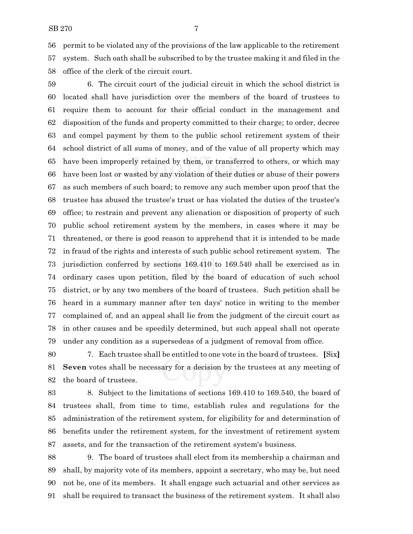permit to be violated any of the provisions of the law applicable to the retirement system. Such oath shall be subscribed to by the trustee making it and filed in the office of the clerk of the circuit court.

 6. The circuit court of the judicial circuit in which the school district is located shall have jurisdiction over the members of the board of trustees to require them to account for their official conduct in the management and disposition of the funds and property committed to their charge; to order, decree and compel payment by them to the public school retirement system of their school district of all sums of money, and of the value of all property which may have been improperly retained by them, or transferred to others, or which may have been lost or wasted by any violation of their duties or abuse of their powers as such members of such board; to remove any such member upon proof that the trustee has abused the trustee's trust or has violated the duties of the trustee's office; to restrain and prevent any alienation or disposition of property of such public school retirement system by the members, in cases where it may be threatened, or there is good reason to apprehend that it is intended to be made in fraud of the rights and interests of such public school retirement system. The jurisdiction conferred by sections 169.410 to 169.540 shall be exercised as in ordinary cases upon petition, filed by the board of education of such school district, or by any two members of the board of trustees. Such petition shall be heard in a summary manner after ten days' notice in writing to the member complained of, and an appeal shall lie from the judgment of the circuit court as in other causes and be speedily determined, but such appeal shall not operate under any condition as a supersedeas of a judgment of removal from office.

 7. Each trustee shall be entitled to one vote in the board of trustees. **[**Six**] Seven** votes shall be necessary for a decision by the trustees at any meeting of the board of trustees.

 8. Subject to the limitations of sections 169.410 to 169.540, the board of trustees shall, from time to time, establish rules and regulations for the administration of the retirement system, for eligibility for and determination of benefits under the retirement system, for the investment of retirement system assets, and for the transaction of the retirement system's business.

 9. The board of trustees shall elect from its membership a chairman and shall, by majority vote of its members, appoint a secretary, who may be, but need not be, one of its members. It shall engage such actuarial and other services as shall be required to transact the business of the retirement system. It shall also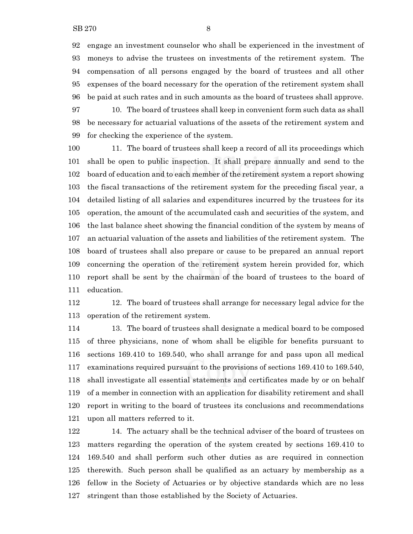engage an investment counselor who shall be experienced in the investment of moneys to advise the trustees on investments of the retirement system. The compensation of all persons engaged by the board of trustees and all other expenses of the board necessary for the operation of the retirement system shall be paid at such rates and in such amounts as the board of trustees shall approve.

 10. The board of trustees shall keep in convenient form such data as shall be necessary for actuarial valuations of the assets of the retirement system and for checking the experience of the system.

 11. The board of trustees shall keep a record of all its proceedings which shall be open to public inspection. It shall prepare annually and send to the board of education and to each member of the retirement system a report showing the fiscal transactions of the retirement system for the preceding fiscal year, a detailed listing of all salaries and expenditures incurred by the trustees for its operation, the amount of the accumulated cash and securities of the system, and the last balance sheet showing the financial condition of the system by means of an actuarial valuation of the assets and liabilities of the retirement system. The board of trustees shall also prepare or cause to be prepared an annual report concerning the operation of the retirement system herein provided for, which report shall be sent by the chairman of the board of trustees to the board of education.

 12. The board of trustees shall arrange for necessary legal advice for the operation of the retirement system.

 13. The board of trustees shall designate a medical board to be composed of three physicians, none of whom shall be eligible for benefits pursuant to sections 169.410 to 169.540, who shall arrange for and pass upon all medical examinations required pursuant to the provisions of sections 169.410 to 169.540, shall investigate all essential statements and certificates made by or on behalf of a member in connection with an application for disability retirement and shall report in writing to the board of trustees its conclusions and recommendations upon all matters referred to it.

 14. The actuary shall be the technical adviser of the board of trustees on matters regarding the operation of the system created by sections 169.410 to 169.540 and shall perform such other duties as are required in connection therewith. Such person shall be qualified as an actuary by membership as a fellow in the Society of Actuaries or by objective standards which are no less stringent than those established by the Society of Actuaries.